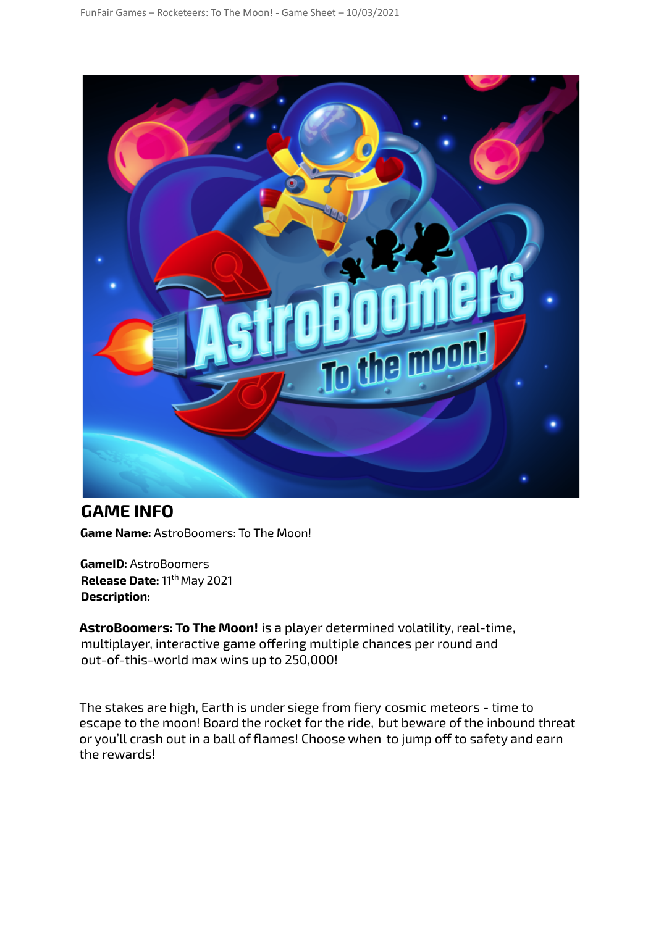

**GAME INFO Game Name:** AstroBoomers: To The Moon!

**GameID:** AstroBoomers **Release Date:** 11<sup>th</sup> May 2021 **Description:**

**AstroBoomers: To The Moon!** is a player determined volatility, real-time, multiplayer, interactive game offering multiple chances per round and out-of-this-world max wins up to 250,000!

The stakes are high, Earth is under siege from fiery cosmic meteors - time to escape to the moon! Board the rocket for the ride, but beware of the inbound threat or you'll crash out in a ball of flames! Choose when to jump off to safety and earn the rewards!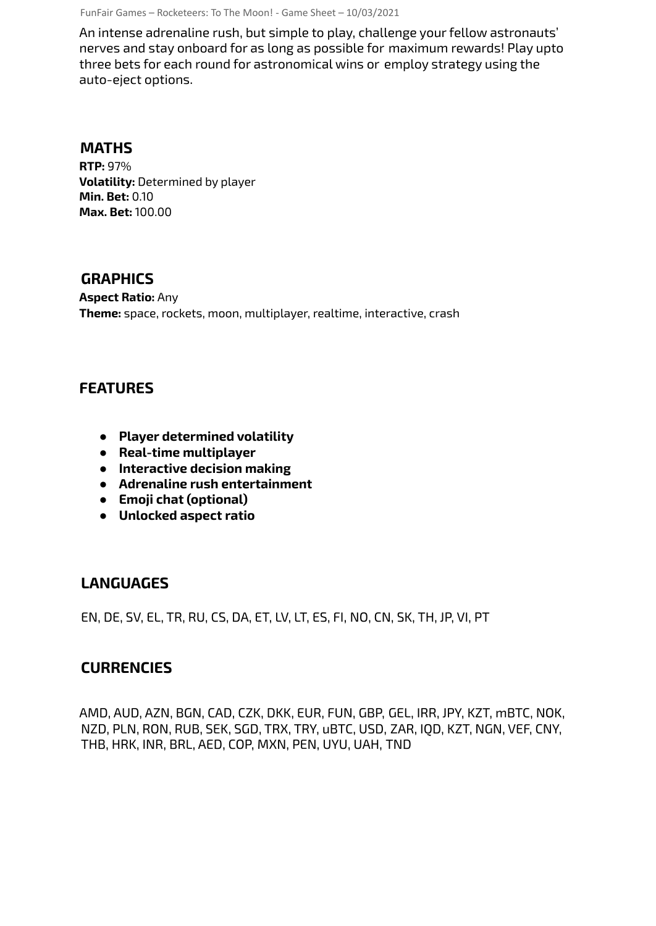FunFair Games – Rocketeers: To The Moon! - Game Sheet – 10/03/2021

An intense adrenaline rush, but simple to play, challenge your fellow astronauts' nerves and stay onboard for as long as possible for maximum rewards! Play upto three bets for each round for astronomical wins or employ strategy using the auto-eject options.

#### **MATHS**

**RTP:** 97% **Volatility:** Determined by player **Min. Bet:** 0.10 **Max. Bet:** 100.00

### **GRAPHICS**

**Aspect Ratio:** Any **Theme:** space, rockets, moon, multiplayer, realtime, interactive, crash

# **FEATURES**

- **● Player determined volatility**
- **● Real-time multiplayer**
- **● Interactive decision making**
- **● Adrenaline rush entertainment**
- **● Emoji chat (optional)**
- **● Unlocked aspect ratio**

### **LANGUAGES**

EN, DE, SV, EL, TR, RU, CS, DA, ET, LV, LT, ES, FI, NO, CN, SK, TH, JP, VI, PT

## **CURRENCIES**

AMD, AUD, AZN, BGN, CAD, CZK, DKK, EUR, FUN, GBP, GEL, IRR, JPY, KZT, mBTC, NOK, NZD, PLN, RON, RUB, SEK, SGD, TRX, TRY, uBTC, USD, ZAR, IQD, KZT, NGN, VEF, CNY, THB, HRK, INR, BRL, AED, COP, MXN, PEN, UYU, UAH, TND